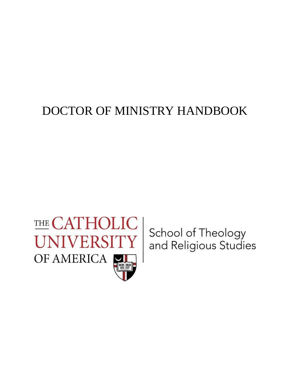# DOCTOR OF MINISTRY HANDBOOK



School of Theology<br>and Religious Studies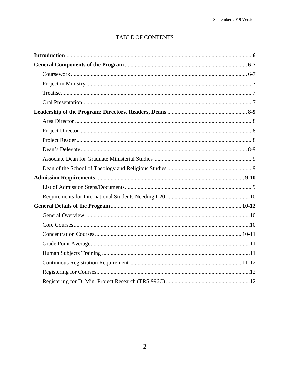## TABLE OF CONTENTS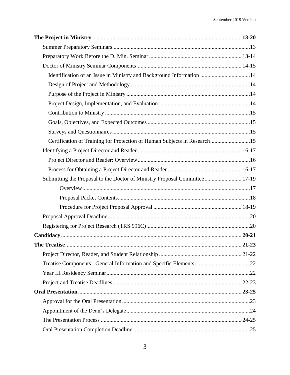| Identification of an Issue in Ministry and Background Information 14       |  |
|----------------------------------------------------------------------------|--|
|                                                                            |  |
|                                                                            |  |
|                                                                            |  |
|                                                                            |  |
|                                                                            |  |
|                                                                            |  |
| Certification of Training for Protection of Human Subjects in Research15   |  |
|                                                                            |  |
|                                                                            |  |
|                                                                            |  |
| Submitting the Proposal to the Doctor of Ministry Proposal Committee 17-19 |  |
|                                                                            |  |
|                                                                            |  |
|                                                                            |  |
|                                                                            |  |
|                                                                            |  |
|                                                                            |  |
|                                                                            |  |
|                                                                            |  |
|                                                                            |  |
|                                                                            |  |
|                                                                            |  |
|                                                                            |  |
|                                                                            |  |
|                                                                            |  |
|                                                                            |  |
|                                                                            |  |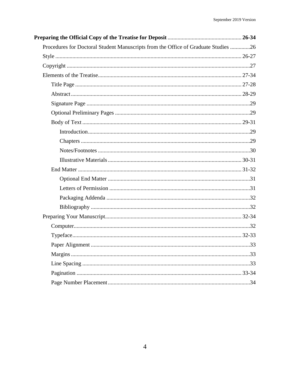| Procedures for Doctoral Student Manuscripts from the Office of Graduate Studies 26 |  |
|------------------------------------------------------------------------------------|--|
|                                                                                    |  |
|                                                                                    |  |
|                                                                                    |  |
|                                                                                    |  |
|                                                                                    |  |
|                                                                                    |  |
|                                                                                    |  |
|                                                                                    |  |
|                                                                                    |  |
|                                                                                    |  |
|                                                                                    |  |
|                                                                                    |  |
|                                                                                    |  |
|                                                                                    |  |
|                                                                                    |  |
|                                                                                    |  |
|                                                                                    |  |
|                                                                                    |  |
|                                                                                    |  |
|                                                                                    |  |
|                                                                                    |  |
|                                                                                    |  |
|                                                                                    |  |
|                                                                                    |  |
|                                                                                    |  |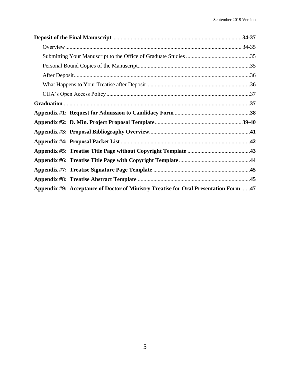| Appendix #9: Acceptance of Doctor of Ministry Treatise for Oral Presentation Form 47 |  |
|--------------------------------------------------------------------------------------|--|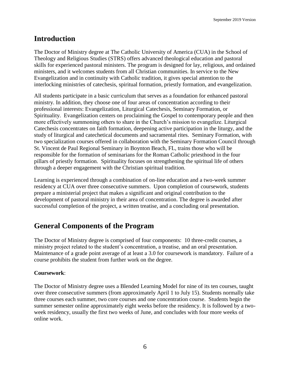# **Introduction**

The Doctor of Ministry degree at The Catholic University of America (CUA) in the School of Theology and Religious Studies (STRS) offers advanced theological education and pastoral skills for experienced pastoral ministers. The program is designed for lay, religious, and ordained ministers, and it welcomes students from all Christian communities. In service to the New Evangelization and in continuity with Catholic tradition, it gives special attention to the interlocking ministries of catechesis, spiritual formation, priestly formation, and evangelization.

All students participate in a basic curriculum that serves as a foundation for enhanced pastoral ministry. In addition, they choose one of four areas of concentration according to their professional interests: Evangelization, Liturgical Catechesis, Seminary Formation, or Spirituality. Evangelization centers on proclaiming the Gospel to contemporary people and then more effectively summoning others to share in the Church's mission to evangelize. Liturgical Catechesis concentrates on faith formation, deepening active participation in the liturgy, and the study of liturgical and catechetical documents and sacramental rites. Seminary Formation, with two specialization courses offered in collaboration with the Seminary Formation Council through St. Vincent de Paul Regional Seminary in Boynton Beach, FL, trains those who will be responsible for the formation of seminarians for the Roman Catholic priesthood in the four pillars of priestly formation. Spirituality focuses on strengthening the spiritual life of others through a deeper engagement with the Christian spiritual tradition.

Learning is experienced through a combination of on-line education and a two-week summer residency at CUA over three consecutive summers. Upon completion of coursework, students prepare a ministerial project that makes a significant and original contribution to the development of pastoral ministry in their area of concentration. The degree is awarded after successful completion of the project, a written treatise, and a concluding oral presentation.

# **General Components of the Program**

The Doctor of Ministry degree is comprised of four components: 10 three-credit courses, a ministry project related to the student's concentration, a treatise, and an oral presentation. Maintenance of a grade point average of at least a 3.0 for coursework is mandatory. Failure of a course prohibits the student from further work on the degree.

#### **Coursework**:

The Doctor of Ministry degree uses a Blended Learning Model for nine of its ten courses, taught over three consecutive summers (from approximately April 1 to July 15). Students normally take three courses each summer, two core courses and one concentration course. Students begin the summer semester online approximately eight weeks before the residency. It is followed by a twoweek residency, usually the first two weeks of June, and concludes with four more weeks of online work.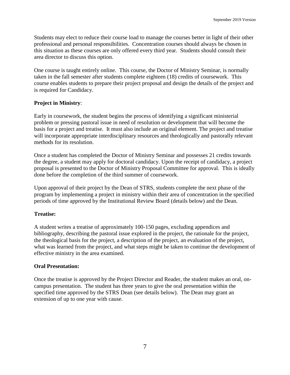Students may elect to reduce their course load to manage the courses better in light of their other professional and personal responsibilities. Concentration courses should always be chosen in this situation as these courses are only offered every third year. Students should consult their area director to discuss this option.

One course is taught entirely online. This course, the Doctor of Ministry Seminar, is normally taken in the fall semester after students complete eighteen (18) credits of coursework. This course enables students to prepare their project proposal and design the details of the project and is required for Candidacy.

#### **Project in Ministry**:

Early in coursework, the student begins the process of identifying a significant ministerial problem or pressing pastoral issue in need of resolution or development that will become the basis for a project and treatise. It must also include an original element. The project and treatise will incorporate appropriate interdisciplinary resources and theologically and pastorally relevant methods for its resolution.

Once a student has completed the Doctor of Ministry Seminar and possesses 21 credits towards the degree, a student may apply for doctoral candidacy. Upon the receipt of candidacy, a project proposal is presented to the Doctor of Ministry Proposal Committee for approval. This is ideally done before the completion of the third summer of coursework.

Upon approval of their project by the Dean of STRS, students complete the next phase of the program by implementing a project in ministry within their area of concentration in the specified periods of time approved by the Institutional Review Board (details below) and the Dean.

#### **Treatise:**

A student writes a treatise of approximately 100-150 pages, excluding appendices and bibliography, describing the pastoral issue explored in the project, the rationale for the project, the theological basis for the project, a description of the project, an evaluation of the project, what was learned from the project, and what steps might be taken to continue the development of effective ministry in the area examined.

#### **Oral Presentation:**

Once the treatise is approved by the Project Director and Reader, the student makes an oral, oncampus presentation. The student has three years to give the oral presentation within the specified time approved by the STRS Dean (see details below). The Dean may grant an extension of up to one year with cause.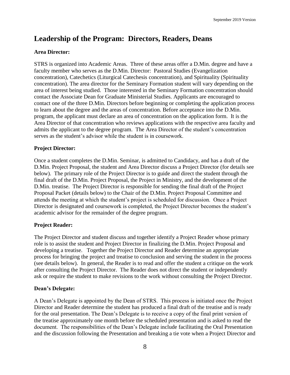# **Leadership of the Program: Directors, Readers, Deans**

### **Area Director:**

STRS is organized into Academic Areas. Three of these areas offer a D.Min. degree and have a faculty member who serves as the D.Min. Director: Pastoral Studies (Evangelization concentration), Catechetics (Liturgical Catechesis concentration), and Spirituality (Spirituality concentration). The area director for the Seminary Formation student will vary depending on the area of interest being studied. Those interested in the Seminary Formation concentration should contact the Associate Dean for Graduate Ministerial Studies. Applicants are encouraged to contact one of the three D.Min. Directors before beginning or completing the application process to learn about the degree and the areas of concentration. Before acceptance into the D.Min. program, the applicant must declare an area of concentration on the application form. It is the Area Director of that concentration who reviews applications with the respective area faculty and admits the applicant to the degree program. The Area Director of the student's concentration serves as the student's advisor while the student is in coursework.

#### **Project Director:**

Once a student completes the D.Min. Seminar, is admitted to Candidacy, and has a draft of the D.Min. Project Proposal, the student and Area Director discuss a Project Director (for details see below). The primary role of the Project Director is to guide and direct the student through the final draft of the D.Min. Project Proposal, the Project in Ministry, and the development of the D.Min. treatise. The Project Director is responsible for sending the final draft of the Project Proposal Packet (details below) to the Chair of the D.Min. Project Proposal Committee and attends the meeting at which the student's project is scheduled for discussion. Once a Project Director is designated and coursework is completed, the Project Director becomes the student's academic advisor for the remainder of the degree program.

#### **Project Reader:**

The Project Director and student discuss and together identify a Project Reader whose primary role is to assist the student and Project Director in finalizing the D.Min. Project Proposal and developing a treatise. Together the Project Director and Reader determine an appropriate process for bringing the project and treatise to conclusion and serving the student in the process (see details below). In general, the Reader is to read and offer the student a critique on the work after consulting the Project Director. The Reader does not direct the student or independently ask or require the student to make revisions to the work without consulting the Project Director.

#### **Dean's Delegate:**

A Dean's Delegate is appointed by the Dean of STRS. This process is initiated once the Project Director and Reader determine the student has produced a final draft of the treatise and is ready for the oral presentation. The Dean's Delegate is to receive a copy of the final print version of the treatise approximately one month before the scheduled presentation and is asked to read the document. The responsibilities of the Dean's Delegate include facilitating the Oral Presentation and the discussion following the Presentation and breaking a tie vote when a Project Director and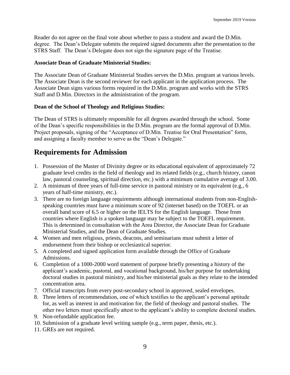Reader do not agree on the final vote about whether to pass a student and award the D.Min. degree. The Dean's Delegate submits the required signed documents after the presentation to the STRS Staff. The Dean's Delegate does not sign the signature page of the Treatise.

#### **Associate Dean of Graduate Ministerial Studies:**

The Associate Dean of Graduate Ministerial Studies serves the D.Min. program at various levels. The Associate Dean is the second reviewer for each applicant in the application process. The Associate Dean signs various forms required in the D.Min. program and works with the STRS Staff and D.Min. Directors in the administration of the program.

#### **Dean of the School of Theology and Religious Studies:**

The Dean of STRS is ultimately responsible for all degrees awarded through the school. Some of the Dean's specific responsibilities in the D.Min. program are the formal approval of D.Min. Project proposals, signing of the "Acceptance of D.Min. Treatise for Oral Presentation" form, and assigning a faculty member to serve as the "Dean's Delegate."

# **Requirements for Admission**

- 1. Possession of the Master of Divinity degree or its educational equivalent of approximately 72 graduate level credits in the field of theology and its related fields (e.g., church history, canon law, pastoral counseling, spiritual direction, etc.) with a minimum cumulative average of 3.00.
- 2. A minimum of three years of full-time service in pastoral ministry or its equivalent (e.g., 6 years of half-time ministry, etc.).
- 3. There are no foreign language requirements although international students from non-Englishspeaking countries must have a minimum score of 92 (internet based) on the TOEFL or an overall band score of 6.5 or higher on the IELTS for the English language. Those from countries where English is a spoken language may be subject to the TOEFL requirement. This is determined in consultation with the Area Director, the Associate Dean for Graduate Ministerial Studies, and the Dean of Graduate Studies.
- 4. Women and men religious, priests, deacons, and seminarians must submit a letter of endorsement from their bishop or ecclesiastical superior.
- 5. A completed and signed application form available through the Office of Graduate Admissions.
- 6. Completion of a 1000-2000 word statement of purpose briefly presenting a history of the applicant's academic, pastoral, and vocational background, his/her purpose for undertaking doctoral studies in pastoral ministry, and his/her ministerial goals as they relate to the intended concentration area.
- 7. Official transcripts from every post-secondary school in approved, sealed envelopes.
- 8. Three letters of recommendation, one of which testifies to the applicant's personal aptitude for, as well as interest in and motivation for, the field of theology and pastoral studies. The other two letters must specifically attest to the applicant's ability to complete doctoral studies.
- 9. Non-refundable application fee.
- 10. Submission of a graduate level writing sample (e.g., term paper, thesis, etc.).
- 11. GREs are not required.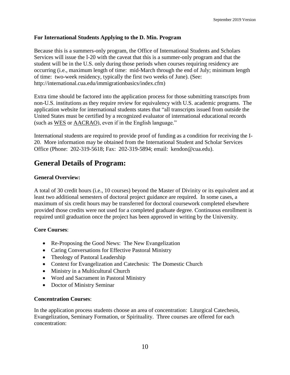#### **For International Students Applying to the D. Min. Program**

Because this is a summers-only program, the Office of International Students and Scholars Services will issue the I-20 with the caveat that this is a summer-only program and that the student will be in the U.S. only during those periods when courses requiring residency are occurring (i.e., maximum length of time: mid-March through the end of July; minimum length of time: two-week residency, typically the first two weeks of June). (See: [http://international.cua.edu/immigrationbasics/index.cfm\)](http://international.cua.edu/immigrationbasics/index.cfm)

Extra time should be factored into the application process for those submitting transcripts from non-U.S. institutions as they require review for equivalency with U.S. academic programs. The application website for international students states that "all transcripts issued from outside the United States must be certified by a recognized evaluator of international educational records (such as [WES](http://www.wes.org/) or [AACRAO\)](http://www.aacrao.org/), even if in the English language."

International students are required to provide proof of funding as a condition for receiving the I-20. More information may be obtained from the International Student and Scholar Services Office (Phone: 202-319-5618; Fax: 202-319-5894; email: kendon@cua.edu).

# **General Details of Program:**

#### **General Overview:**

A total of 30 credit hours (i.e., 10 courses) beyond the Master of Divinity or its equivalent and at least two additional semesters of doctoral project guidance are required. In some cases, a maximum of six credit hours may be transferred for doctoral coursework completed elsewhere provided those credits were not used for a completed graduate degree. Continuous enrollment is required until graduation once the project has been approved in writing by the University.

#### **Core Courses**:

- Re-Proposing the Good News: The New Evangelization
- Caring Conversations for Effective Pastoral Ministry
- Theology of Pastoral Leadership
- Context for Evangelization and Catechesis: The Domestic Church
- Ministry in a Multicultural Church
- Word and Sacrament in Pastoral Ministry
- Doctor of Ministry Seminar

#### **Concentration Courses**:

In the application process students choose an area of concentration: Liturgical Catechesis, Evangelization, Seminary Formation, or Spirituality. Three courses are offered for each concentration: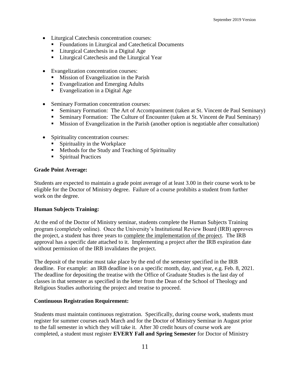- Liturgical Catechesis concentration courses:
	- Foundations in Liturgical and Catechetical Documents
	- Liturgical Catechesis in a Digital Age
	- **EXECUTE:** Liturgical Catechesis and the Liturgical Year
- Evangelization concentration courses:
	- Mission of Evangelization in the Parish
	- Evangelization and Emerging Adults
	- Evangelization in a Digital Age
- Seminary Formation concentration courses:
	- **Seminary Formation:** The Art of Accompaniment (taken at St. Vincent de Paul Seminary)
	- **EXECUTE:** Seminary Formation: The Culture of Encounter (taken at St. Vincent de Paul Seminary)
	- Mission of Evangelization in the Parish (another option is negotiable after consultation)
- Spirituality concentration courses:
	- $\blacksquare$  Spirituality in the Workplace
	- Methods for the Study and Teaching of Spirituality
	- Spiritual Practices

#### **Grade Point Average:**

Students are expected to maintain a grade point average of at least 3.00 in their course work to be eligible for the Doctor of Ministry degree. Failure of a course prohibits a student from further work on the degree.

#### **Human Subjects Training:**

At the end of the Doctor of Ministry seminar, students complete the Human Subjects Training program (completely online). Once the University's Institutional Review Board (IRB) approves the project, a student has three years to complete the implementation of the project. The IRB approval has a specific date attached to it. Implementing a project after the IRB expiration date without permission of the IRB invalidates the project.

The deposit of the treatise must take place by the end of the semester specified in the IRB deadline. For example: an IRB deadline is on a specific month, day, and year, e.g. Feb. 8, 2021. The deadline for depositing the treatise with the Office of Graduate Studies is the last day of classes in that semester as specified in the letter from the Dean of the School of Theology and Religious Studies authorizing the project and treatise to proceed.

#### **Continuous Registration Requirement:**

Students must maintain continuous registration. Specifically, during course work, students must register for summer courses each March and for the Doctor of Ministry Seminar in August prior to the fall semester in which they will take it. After 30 credit hours of course work are completed, a student must register **EVERY Fall and Spring Semester** for Doctor of Ministry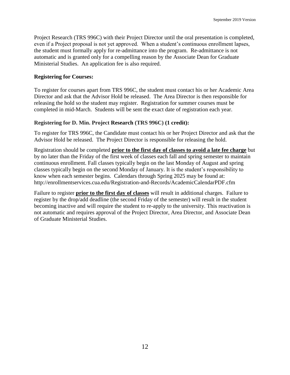Project Research (TRS 996C) with their Project Director until the oral presentation is completed, even if a Project proposal is not yet approved. When a student's continuous enrollment lapses, the student must formally apply for re-admittance into the program. Re-admittance is not automatic and is granted only for a compelling reason by the Associate Dean for Graduate Ministerial Studies. An application fee is also required.

#### **Registering for Courses:**

To register for courses apart from TRS 996C, the student must contact his or her Academic Area Director and ask that the Advisor Hold be released. The Area Director is then responsible for releasing the hold so the student may register. Registration for summer courses must be completed in mid-March. Students will be sent the exact date of registration each year.

#### **Registering for D. Min. Project Research (TRS 996C) (1 credit):**

To register for TRS 996C, the Candidate must contact his or her Project Director and ask that the Advisor Hold be released. The Project Director is responsible for releasing the hold.

Registration should be completed **prior to the first day of classes to avoid a late fee charge** but by no later than the Friday of the first week of classes each fall and spring semester to maintain continuous enrollment. Fall classes typically begin on the last Monday of August and spring classes typically begin on the second Monday of January. It is the student's responsibility to know when each semester begins. Calendars through Spring 2025 may be found at: http://enrollmentservices.cua.edu/Registration-and-Records/AcademicCalendarPDF.cfm

Failure to register **prior to the first day of classes** will result in additional charges. Failure to register by the drop/add deadline (the second Friday of the semester) will result in the student becoming inactive and will require the student to re-apply to the university. This reactivation is not automatic and requires approval of the Project Director, Area Director, and Associate Dean of Graduate Ministerial Studies.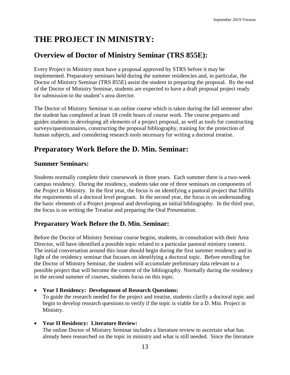# **THE PROJECT IN MINISTRY:**

# **Overview of Doctor of Ministry Seminar (TRS 855E):**

Every Project in Ministry must have a proposal approved by STRS before it may be implemented. Preparatory seminars held during the summer residencies and, in particular, the Doctor of Ministry Seminar (TRS 855E) assist the student in preparing the proposal. By the end of the Doctor of Ministry Seminar, students are expected to have a draft proposal project ready for submission to the student's area director.

The Doctor of Ministry Seminar is an online course which is taken during the fall semester after the student has completed at least 18 credit hours of course work. The course prepares and guides students in developing all elements of a project proposal, as well as tools for constructing surveys/questionnaires, constructing the proposal bibliography, training for the protection of human subjects, and considering research tools necessary for writing a doctoral treatise.

# **Preparatory Work Before the D. Min. Seminar:**

## **Summer Seminars:**

Students normally complete their coursework in three years. Each summer there is a two-week campus residency. During the residency, students take one of three seminars on components of the Project in Ministry. In the first year, the focus is on identifying a pastoral project that fulfills the requirements of a doctoral level program. In the second year, the focus is on understanding the basic elements of a Project proposal and developing an initial bibliography. In the third year, the focus is on writing the Treatise and preparing the Oral Presentation.

## **Preparatory Work Before the D. Min. Seminar:**

Before the Doctor of Ministry Seminar course begins, students, in consultation with their Area Director, will have identified a possible topic related to a particular pastoral ministry context. The initial conversation around this issue should begin during the first summer residency and in light of the residency seminar that focuses on identifying a doctoral topic. Before enrolling for the Doctor of Ministry Seminar, the student will accumulate preliminary data relevant to a possible project that will become the content of the bibliography. Normally during the residency in the second summer of courses, students focus on this topic.

• **Year I Residency: Development of Research Questions:** To guide the research needed for the project and treatise, students clarify a doctoral topic and begin to develop research questions to verify if the topic is viable for a D. Min. Project in

Ministry.

#### • **Year II Residency: Literature Review:**

The online Doctor of Ministry Seminar includes a literature review to ascertain what has already been researched on the topic in ministry and what is still needed. Since the literature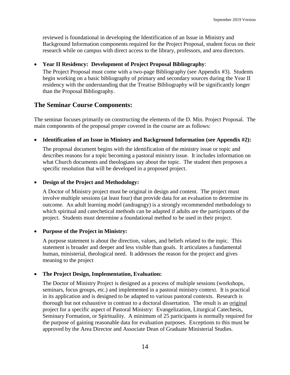reviewed is foundational in developing the Identification of an Issue in Ministry and Background Information components required for the Project Proposal, student focus on their research while on campus with direct access to the library, professors, and area directors.

#### • **Year II Residency: Development of Project Proposal Bibliography**:

The Project Proposal must come with a two-page Bibliography (see Appendix #3). Students begin working on a basic bibliography of primary and secondary sources during the Year II residency with the understanding that the Treatise Bibliography will be significantly longer than the Proposal Bibliography.

## **The Seminar Course Components:**

The seminar focuses primarily on constructing the elements of the D. Min. Project Proposal. The main components of the proposal proper covered in the course are as follows:

### • **Identification of an Issue in Ministry and Background Information (see Appendix #2):**

The proposal document begins with the identification of the ministry issue or topic and describes reasons for a topic becoming a pastoral ministry issue. It includes information on what Church documents and theologians say about the topic. The student then proposes a specific resolution that will be developed in a proposed project.

### • **Design of the Project and Methodology:**

A Doctor of Ministry project must be original in design and content. The project must involve multiple sessions (at least four) that provide data for an evaluation to determine its outcome. An adult learning model (andragogy) is a strongly recommended methodology to which spiritual and catechetical methods can be adapted if adults are the participants of the project. Students must determine a foundational method to be used in their project.

#### • **Purpose of the Project in Ministry:**

A purpose statement is about the direction, values, and beliefs related to the topic. This statement is broader and deeper and less visible than goals. It articulates a fundamental human, ministerial, theological need. It addresses the reason for the project and gives meaning to the project

#### • **The Project Design, Implementation, Evaluation:**

The Doctor of Ministry Project is designed as a process of multiple sessions (workshops, seminars, focus groups, etc.) and implemented in a pastoral ministry context. It is practical in its application and is designed to be adapted to various pastoral contexts. Research is thorough but not exhaustive in contrast to a doctoral dissertation. The result is an original project for a specific aspect of Pastoral Ministry: Evangelization, Liturgical Catechesis, Seminary Formation, or Spirituality. A minimum of 25 participants is normally required for the purpose of gaining reasonable data for evaluation purposes. Exceptions to this must be approved by the Area Director and Associate Dean of Graduate Ministerial Studies.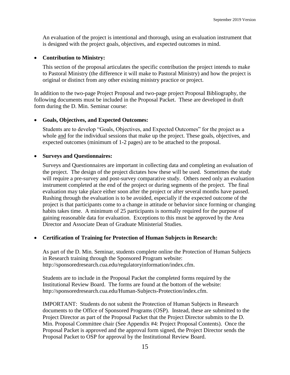An evaluation of the project is intentional and thorough, using an evaluation instrument that is designed with the project goals, objectives, and expected outcomes in mind.

#### • **Contribution to Ministry:**

This section of the proposal articulates the specific contribution the project intends to make to Pastoral Ministry (the difference it will make to Pastoral Ministry) and how the project is original or distinct from any other existing ministry practice or project.

In addition to the two-page Project Proposal and two-page project Proposal Bibliography, the following documents must be included in the Proposal Packet. These are developed in draft form during the D. Min. Seminar course:

#### • **Goals, Objectives, and Expected Outcomes:**

Students are to develop "Goals, Objectives, and Expected Outcomes" for the project as a whole and for the individual sessions that make up the project. These goals, objectives, and expected outcomes (minimum of 1-2 pages) are to be attached to the proposal.

#### • **Surveys and Questionnaires:**

Surveys and Questionnaires are important in collecting data and completing an evaluation of the project. The design of the project dictates how these will be used. Sometimes the study will require a pre-survey and post-survey comparative study. Others need only an evaluation instrument completed at the end of the project or during segments of the project. The final evaluation may take place either soon after the project or after several months have passed. Rushing through the evaluation is to be avoided, especially if the expected outcome of the project is that participants come to a change in attitude or behavior since forming or changing habits takes time. A minimum of 25 participants is normally required for the purpose of gaining reasonable data for evaluation. Exceptions to this must be approved by the Area Director and Associate Dean of Graduate Ministerial Studies.

#### • **Certification of Training for Protection of Human Subjects in Research:**

As part of the D. Min. Seminar, students complete online the Protection of Human Subjects in Research training through the Sponsored Program website: [http://sponsoredresearch.cua.edu/regulatoryinformation/index.cfm.](http://sponsoredresearch.cua.edu/regulatoryinformation/index.cfm)

Students are to include in the Proposal Packet the completed forms required by the Institutional Review Board. The forms are found at the bottom of the website: [http://sponsoredresearch.cua.edu/Human-Subjects-Protection/index.cfm.](http://sponsoredresearch.cua.edu/Human-Subjects-Protection/index.cfm)

IMPORTANT: Students do not submit the Protection of Human Subjects in Research documents to the Office of Sponsored Programs (OSP). Instead, these are submitted to the Project Director as part of the Proposal Packet that the Project Director submits to the D. Min. Proposal Committee chair (See Appendix #4: Project Proposal Contents). Once the Proposal Packet is approved and the approval form signed, the Project Director sends the Proposal Packet to OSP for approval by the Institutional Review Board.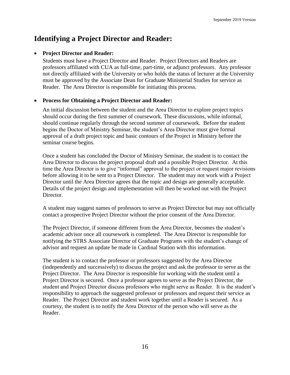# **Identifying a Project Director and Reader:**

#### • **Project Director and Reader:**

Students must have a Project Director and Reader. Project Directors and Readers are professors affiliated with CUA as full-time, part-time, or adjunct professors. Any professor not directly affiliated with the University or who holds the status of lecturer at the University must be approved by the Associate Dean for Graduate Ministerial Studies for service as Reader. The Area Director is responsible for initiating this process.

#### • **Process for Obtaining a Project Director and Reader:**

An initial discussion between the student and the Area Director to explore project topics should occur during the first summer of coursework. These discussions, while informal, should continue regularly through the second summer of coursework. Before the student begins the Doctor of Ministry Seminar, the student's Area Director must give formal approval of a draft project topic and basic contours of the Project in Ministry before the seminar course begins.

Once a student has concluded the Doctor of Ministry Seminar, the student is to contact the Area Director to discuss the project proposal draft and a possible Project Director. At this time the Area Director is to give "informal" approval to the project or request major revisions before allowing it to be sent to a Project Director. The student may not work with a Project Director until the Area Director agrees that the topic and design are generally acceptable. Details of the project design and implementation will then be worked out with the Project Director.

A student may suggest names of professors to serve as Project Director but may not officially contact a prospective Project Director without the prior consent of the Area Director.

The Project Director, if someone different from the Area Director, becomes the student's academic advisor once all coursework is completed. The Area Director is responsible for notifying the STRS Associate Director of Graduate Programs with the student's change of advisor and request an update be made in Cardinal Station with this information.

The student is to contact the professor or professors suggested by the Area Director (independently and successively) to discuss the project and ask the professor to serve as the Project Director. The Area Director is responsible for working with the student until a Project Director is secured. Once a professor agrees to serve as the Project Director, the student and Project Director discuss professors who might serve as Reader. It is the student's responsibility to approach the suggested professor or professors and request their service as Reader. The Project Director and student work together until a Reader is secured. As a courtesy, the student is to notify the Area Director of the person who will serve as the Reader.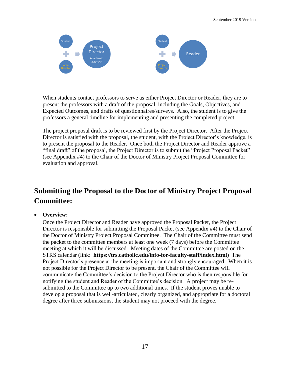

When students contact professors to serve as either Project Director or Reader, they are to present the professors with a draft of the proposal, including the Goals, Objectives, and Expected Outcomes, and drafts of questionnaires/surveys. Also, the student is to give the professors a general timeline for implementing and presenting the completed project.

The project proposal draft is to be reviewed first by the Project Director. After the Project Director is satisfied with the proposal, the student, with the Project Director's knowledge, is to present the proposal to the Reader. Once both the Project Director and Reader approve a "final draft" of the proposal, the Project Director is to submit the "Project Proposal Packet" (see Appendix #4) to the Chair of the Doctor of Ministry Project Proposal Committee for evaluation and approval.

# **Submitting the Proposal to the Doctor of Ministry Project Proposal Committee:**

#### • **Overview:**

Once the Project Director and Reader have approved the Proposal Packet, the Project Director is responsible for submitting the Proposal Packet (see Appendix #4) to the Chair of the Doctor of Ministry Project Proposal Committee. The Chair of the Committee must send the packet to the committee members at least one week (7 days) before the Committee meeting at which it will be discussed. Meeting dates of the Committee are posted on the STRS calendar (link: **https://trs.catholic.edu/info-for-faculty-staff/index.html**) The Project Director's presence at the meeting is important and strongly encouraged. When it is not possible for the Project Director to be present, the Chair of the Committee will communicate the Committee's decision to the Project Director who is then responsible for notifying the student and Reader of the Committee's decision. A project may be resubmitted to the Committee up to two additional times. If the student proves unable to develop a proposal that is well-articulated, clearly organized, and appropriate for a doctoral degree after three submissions, the student may not proceed with the degree.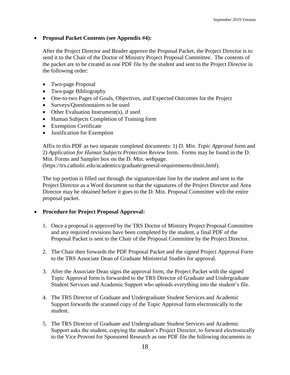#### • **Proposal Packet Contents (see Appendix #4):**

After the Project Director and Reader approve the Proposal Packet, the Project Director is to send it to the Chair of the Doctor of Ministry Project Proposal Committee. The contents of the packet are to be created as one PDF file by the student and sent to the Project Director in the following order:

- Two-page Proposal
- Two-page Bibliography
- One-to-two Pages of Goals, Objectives, and Expected Outcomes for the Project
- Surveys/Ouestionnaires to be used
- Other Evaluation Instrument(s), if used
- Human Subjects Completion of Training form
- Exemption Certificate
- Justification for Exemption

Affix to this PDF as two separate completed documents: 1) *D. Min. Topic Approval* form and 2) *Application for Human Subjects Protection Review* form. Forms may be found in the D. Min. Forms and Sampler box on the D. Min. webpage. (https://trs.catholic.edu/academics/graduate/general-requirements/dmin.html).

The top portion is filled out through the signature/date line by the student and sent to the Project Director as a Word document so that the signatures of the Project Director and Area Director may be obtained before it goes to the D. Min. Proposal Committee with the entire proposal packet.

#### • **Procedure for Project Proposal Approval:**

- 1. Once a proposal is approved by the TRS Doctor of Ministry Project Proposal Committee and any required revisions have been completed by the student, a final PDF of the Proposal Packet is sent to the Chair of the Proposal Committee by the Project Director.
- 2. The Chair then forwards the PDF Proposal Packet and the signed Project Approval Form to the TRS Associate Dean of Graduate Ministerial Studies for approval.
- 3. After the Associate Dean signs the approval form, the Project Packet with the signed Topic Approval form is forwarded to the TRS Director of Graduate and Undergraduate Student Services and Academic Support who uploads everything into the student's file.
- 4. The TRS Director of Graduate and Undergraduate Student Services and Academic Support forwards the scanned copy of the Topic Approval form electronically to the student.
- 5. The TRS Director of Graduate and Undergraduate Student Services and Academic Support asks the student, copying the student's Project Director, to forward electronically to the Vice Provost for Sponsored Research as one PDF file the following documents in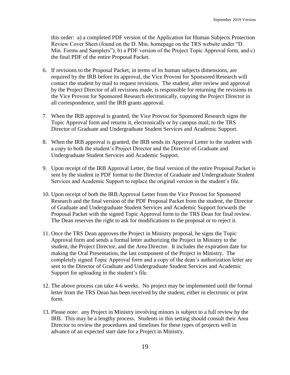this order: a) a completed PDF version of the Application for Human Subjects Protection Review Cover Sheet (found on the D. Min. homepage on the TRS website under "D. Min. Forms and Samplers"), b) a PDF version of the Project Topic Approval form, and c) the final PDF of the entire Proposal Packet.

- 6. If revisions to the Proposal Packet, in terms of its human subjects dimensions, are required by the IRB before its approval, the Vice Provost for Sponsored Research will contact the student by mail to request revisions. The student, after review and approval by the Project Director of all revisions made, is responsible for returning the revisions to the Vice Provost for Sponsored Research electronically, copying the Project Director in all correspondence, until the IRB grants approval.
- 7. When the IRB approval is granted, the Vice Provost for Sponsored Research signs the Topic Approval form and returns it, electronically or by campus mail, to the TRS Director of Graduate and Undergraduate Student Services and Academic Support.
- 8. When the IRB approval is granted, the IRB sends its Approval Letter to the student with a copy to both the student's Project Director and the Director of Graduate and Undergraduate Student Services and Academic Support.
- 9. Upon receipt of the IRB Approval Letter, the final version of the entire Proposal Packet is sent by the student in PDF format to the Director of Graduate and Undergraduate Student Services and Academic Support to replace the original version in the student's file.
- 10. Upon receipt of both the IRB Approval Letter from the Vice Provost for Sponsored Research and the final version of the PDF Proposal Packet from the student, the Director of Graduate and Undergraduate Student Services and Academic Support forwards the Proposal Packet with the signed Topic Approval form to the TRS Dean for final review. The Dean reserves the right to ask for modifications to the proposal or to reject it.
- 11. Once the TRS Dean approves the Project in Ministry proposal, he signs the Topic Approval form and sends a formal letter authorizing the Project in Ministry to the student, the Project Director, and the Area Director. It includes the expiration date for making the Oral Presentation, the last component of the Project in Ministry. The completely signed Topic Approval form and a copy of the dean's authorization letter are sent to the Director of Graduate and Undergraduate Student Services and Academic Support for uploading in the student's file.
- 12. The above process can take 4-6 weeks. No project may be implemented until the formal letter from the TRS Dean has been received by the student, either in electronic or print form.
- 13. Please note: any Project in Ministry involving minors is subject to a full review by the IRB. This may be a lengthy process. Students in this setting should consult their Area Director to review the procedures and timelines for these types of projects well in advance of an expected start date for a Project in Ministry.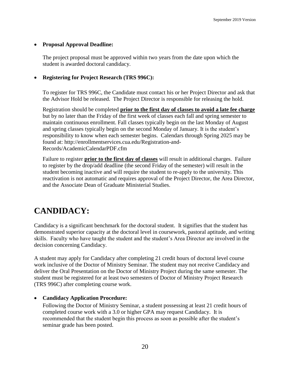#### • **Proposal Approval Deadline:**

The project proposal must be approved within two years from the date upon which the student is awarded doctoral candidacy.

#### • **Registering for Project Research (TRS 996C):**

To register for TRS 996C, the Candidate must contact his or her Project Director and ask that the Advisor Hold be released. The Project Director is responsible for releasing the hold.

Registration should be completed **prior to the first day of classes to avoid a late fee charge** but by no later than the Friday of the first week of classes each fall and spring semester to maintain continuous enrollment. Fall classes typically begin on the last Monday of August and spring classes typically begin on the second Monday of January. It is the student's responsibility to know when each semester begins. Calendars through Spring 2025 may be found at: http://enrollmentservices.cua.edu/Registration-and-Records/AcademicCalendarPDF.cfm

Failure to register **prior to the first day of classes** will result in additional charges. Failure to register by the drop/add deadline (the second Friday of the semester) will result in the student becoming inactive and will require the student to re-apply to the university. This reactivation is not automatic and requires approval of the Project Director, the Area Director, and the Associate Dean of Graduate Ministerial Studies.

# **CANDIDACY:**

Candidacy is a significant benchmark for the doctoral student. It signifies that the student has demonstrated superior capacity at the doctoral level in coursework, pastoral aptitude, and writing skills. Faculty who have taught the student and the student's Area Director are involved in the decision concerning Candidacy.

A student may apply for Candidacy after completing 21 credit hours of doctoral level course work inclusive of the Doctor of Ministry Seminar. The student may not receive Candidacy and deliver the Oral Presentation on the Doctor of Ministry Project during the same semester. The student must be registered for at least two semesters of Doctor of Ministry Project Research (TRS 996C) after completing course work.

#### • **Candidacy Application Procedure:**

Following the Doctor of Ministry Seminar, a student possessing at least 21 credit hours of completed course work with a 3.0 or higher GPA may request Candidacy. It is recommended that the student begin this process as soon as possible after the student's seminar grade has been posted.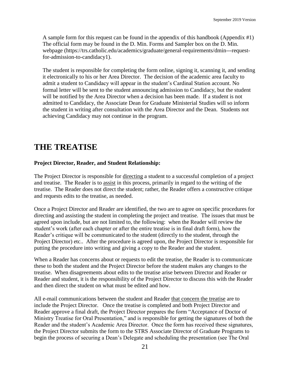A sample form for this request can be found in the appendix of this handbook (Appendix #1) The official form may be found in the D. Min. Forms and Sampler box on the D. Min. webpage (https://trs.catholic.edu/academics/graduate/general-requirements/dmin---requestfor-admission-to-candidacy1).

The student is responsible for completing the form online, signing it, scanning it, and sending it electronically to his or her Area Director. The decision of the academic area faculty to admit a student to Candidacy will appear in the student's Cardinal Station account. No formal letter will be sent to the student announcing admission to Candidacy, but the student will be notified by the Area Director when a decision has been made. If a student is not admitted to Candidacy, the Associate Dean for Graduate Ministerial Studies will so inform the student in writing after consultation with the Area Director and the Dean. Students not achieving Candidacy may not continue in the program.

# **THE TREATISE**

#### **Project Director, Reader, and Student Relationship:**

The Project Director is responsible for directing a student to a successful completion of a project and treatise. The Reader is to assist in this process, primarily in regard to the writing of the treatise. The Reader does not direct the student; rather, the Reader offers a constructive critique and requests edits to the treatise, as needed.

Once a Project Director and Reader are identified, the two are to agree on specific procedures for directing and assisting the student in completing the project and treatise. The issues that must be agreed upon include, but are not limited to, the following: when the Reader will review the student's work (after each chapter or after the entire treatise is in final draft form), how the Reader's critique will be communicated to the student (directly to the student, through the Project Director) etc.. After the procedure is agreed upon, the Project Director is responsible for putting the procedure into writing and giving a copy to the Reader and the student.

When a Reader has concerns about or requests to edit the treatise, the Reader is to communicate these to both the student and the Project Director before the student makes any changes to the treatise. When disagreements about edits to the treatise arise between Director and Reader or Reader and student, it is the responsibility of the Project Director to discuss this with the Reader and then direct the student on what must be edited and how.

All e-mail communications between the student and Reader that concern the treatise are to include the Project Director. Once the treatise is completed and both Project Director and Reader approve a final draft, the Project Director prepares the form "Acceptance of Doctor of Ministry Treatise for Oral Presentation," and is responsible for getting the signatures of both the Reader and the student's Academic Area Director. Once the form has received these signatures, the Project Director submits the form to the STRS Associate Director of Graduate Programs to begin the process of securing a Dean's Delegate and scheduling the presentation (see The Oral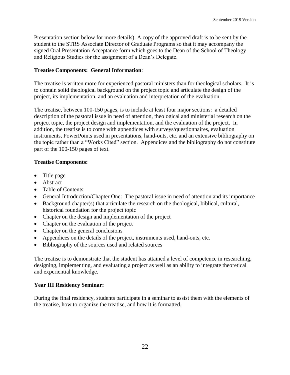Presentation section below for more details). A copy of the approved draft is to be sent by the student to the STRS Associate Director of Graduate Programs so that it may accompany the signed Oral Presentation Acceptance form which goes to the Dean of the School of Theology and Religious Studies for the assignment of a Dean's Delegate.

#### **Treatise Components: General Information**:

The treatise is written more for experienced pastoral ministers than for theological scholars. It is to contain solid theological background on the project topic and articulate the design of the project, its implementation, and an evaluation and interpretation of the evaluation.

The treatise, between 100-150 pages, is to include at least four major sections: a detailed description of the pastoral issue in need of attention, theological and ministerial research on the project topic, the project design and implementation, and the evaluation of the project. In addition, the treatise is to come with appendices with surveys/questionnaires, evaluation instruments, PowerPoints used in presentations, hand-outs, etc. and an extensive bibliography on the topic rather than a "Works Cited" section. Appendices and the bibliography do not constitute part of the 100-150 pages of text.

#### **Treatise Components:**

- Title page
- Abstract
- Table of Contents
- General Introduction/Chapter One: The pastoral issue in need of attention and its importance
- Background chapter(s) that articulate the research on the theological, biblical, cultural, historical foundation for the project topic
- Chapter on the design and implementation of the project
- Chapter on the evaluation of the project
- Chapter on the general conclusions
- Appendices on the details of the project, instruments used, hand-outs, etc.
- Bibliography of the sources used and related sources

The treatise is to demonstrate that the student has attained a level of competence in researching, designing, implementing, and evaluating a project as well as an ability to integrate theoretical and experiential knowledge.

#### **Year III Residency Seminar:**

During the final residency, students participate in a seminar to assist them with the elements of the treatise, how to organize the treatise, and how it is formatted.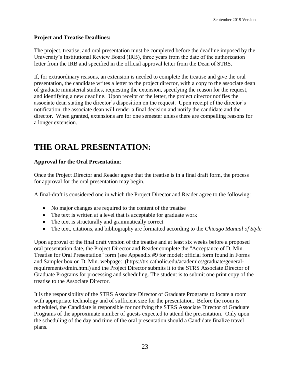#### **Project and Treatise Deadlines:**

The project, treatise, and oral presentation must be completed before the deadline imposed by the University's Institutional Review Board (IRB), three years from the date of the authorization letter from the IRB and specified in the official approval letter from the Dean of STRS.

If, for extraordinary reasons, an extension is needed to complete the treatise and give the oral presentation, the candidate writes a letter to the project director, with a copy to the associate dean of graduate ministerial studies, requesting the extension, specifying the reason for the request, and identifying a new deadline. Upon receipt of the letter, the project director notifies the associate dean stating the director's disposition on the request. Upon receipt of the director's notification, the associate dean will render a final decision and notify the candidate and the director. When granted, extensions are for one semester unless there are compelling reasons for a longer extension.

# **THE ORAL PRESENTATION:**

#### **Approval for the Oral Presentation**:

Once the Project Director and Reader agree that the treatise is in a final draft form, the process for approval for the oral presentation may begin.

A final-draft is considered one in which the Project Director and Reader agree to the following:

- No major changes are required to the content of the treatise
- The text is written at a level that is acceptable for graduate work
- The text is structurally and grammatically correct
- The text, citations, and bibliography are formatted according to the *Chicago Manual of Style*

Upon approval of the final draft version of the treatise and at least six weeks before a proposed oral presentation date, the Project Director and Reader complete the "Acceptance of D. Min. Treatise for Oral Presentation" form (see Appendix #9 for model; official form found in Forms and Sampler box on D. Min. webpage: (https://trs.catholic.edu/academics/graduate/generalrequirements/dmin.html) and the Project Director submits it to the STRS Associate Director of Graduate Programs for processing and scheduling. The student is to submit one print copy of the treatise to the Associate Director.

It is the responsibility of the STRS Associate Director of Graduate Programs to locate a room with appropriate technology and of sufficient size for the presentation. Before the room is scheduled, the Candidate is responsible for notifying the STRS Associate Director of Graduate Programs of the approximate number of guests expected to attend the presentation. Only upon the scheduling of the day and time of the oral presentation should a Candidate finalize travel plans.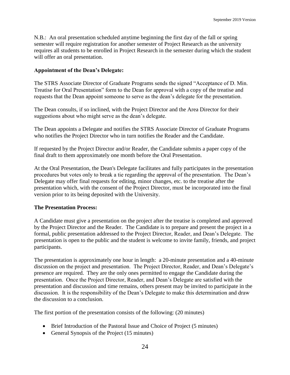N.B.: An oral presentation scheduled anytime beginning the first day of the fall or spring semester will require registration for another semester of Project Research as the university requires all students to be enrolled in Project Research in the semester during which the student will offer an oral presentation.

#### **Appointment of the Dean's Delegate:**

The STRS Associate Director of Graduate Programs sends the signed "Acceptance of D. Min. Treatise for Oral Presentation" form to the Dean for approval with a copy of the treatise and requests that the Dean appoint someone to serve as the dean's delegate for the presentation.

The Dean consults, if so inclined, with the Project Director and the Area Director for their suggestions about who might serve as the dean's delegate.

The Dean appoints a Delegate and notifies the STRS Associate Director of Graduate Programs who notifies the Project Director who in turn notifies the Reader and the Candidate.

If requested by the Project Director and/or Reader, the Candidate submits a paper copy of the final draft to them approximately one month before the Oral Presentation.

At the Oral Presentation, the Dean's Delegate facilitates and fully participates in the presentation procedures but votes only to break a tie regarding the approval of the presentation. The Dean's Delegate may offer final requests for editing, minor changes, etc. to the treatise after the presentation which, with the consent of the Project Director, must be incorporated into the final version prior to its being deposited with the University.

#### **The Presentation Process:**

A Candidate must give a presentation on the project after the treatise is completed and approved by the Project Director and the Reader. The Candidate is to prepare and present the project in a formal, public presentation addressed to the Project Director, Reader, and Dean's Delegate. The presentation is open to the public and the student is welcome to invite family, friends, and project participants.

The presentation is approximately one hour in length: a 20-minute presentation and a 40-minute discussion on the project and presentation. The Project Director, Reader, and Dean's Delegate's presence are required. They are the only ones permitted to engage the Candidate during the presentation. Once the Project Director, Reader, and Dean's Delegate are satisfied with the presentation and discussion and time remains, others present may be invited to participate in the discussion. It is the responsibility of the Dean's Delegate to make this determination and draw the discussion to a conclusion.

The first portion of the presentation consists of the following: (20 minutes)

- Brief Introduction of the Pastoral Issue and Choice of Project (5 minutes)
- General Synopsis of the Project (15 minutes)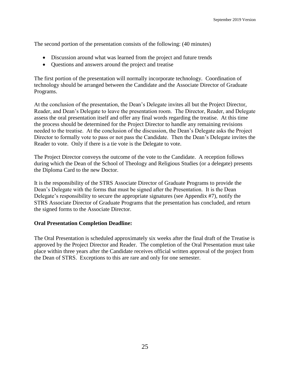The second portion of the presentation consists of the following: (40 minutes)

- Discussion around what was learned from the project and future trends
- Questions and answers around the project and treatise

The first portion of the presentation will normally incorporate technology. Coordination of technology should be arranged between the Candidate and the Associate Director of Graduate Programs.

At the conclusion of the presentation, the Dean's Delegate invites all but the Project Director, Reader, and Dean's Delegate to leave the presentation room. The Director, Reader, and Delegate assess the oral presentation itself and offer any final words regarding the treatise. At this time the process should be determined for the Project Director to handle any remaining revisions needed to the treatise. At the conclusion of the discussion, the Dean's Delegate asks the Project Director to formally vote to pass or not pass the Candidate. Then the Dean's Delegate invites the Reader to vote. Only if there is a tie vote is the Delegate to vote.

The Project Director conveys the outcome of the vote to the Candidate. A reception follows during which the Dean of the School of Theology and Religious Studies (or a delegate) presents the Diploma Card to the new Doctor.

It is the responsibility of the STRS Associate Director of Graduate Programs to provide the Dean's Delegate with the forms that must be signed after the Presentation. It is the Dean Delegate's responsibility to secure the appropriate signatures (see Appendix #7), notify the STRS Associate Director of Graduate Programs that the presentation has concluded, and return the signed forms to the Associate Director.

#### **Oral Presentation Completion Deadline:**

The Oral Presentation is scheduled approximately six weeks after the final draft of the Treatise is approved by the Project Director and Reader. The completion of the Oral Presentation must take place within three years after the Candidate receives official written approval of the project from the Dean of STRS. Exceptions to this are rare and only for one semester.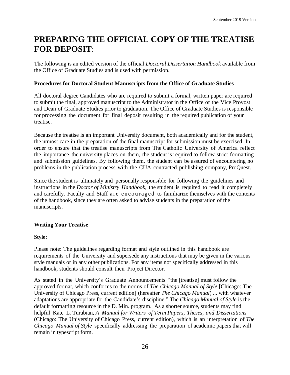# **PREPARING THE OFFICIAL COPY OF THE TREATISE FOR DEPOSIT**:

The following is an edited version of the official *Doctoral Dissertation Handbook* available from the Office of Graduate Studies and is used with permission.

#### **Procedures for Doctoral Student Manuscripts from the Office of Graduate Studies**

All doctoral degree Candidates who are required to submit a formal, written paper are required to submit the final, approved manuscript to the Administrator in the Office of the Vice Provost and Dean of Graduate Studies prior to graduation. The Office of Graduate Studies is responsible for processing the document for final deposit resulting in the required publication of your treatise.

Because the treatise is an important University document, both academically and for the student, the utmost care in the preparation of the final manuscript for submission must be exercised. In order to ensure that the treatise manuscripts from The Catholic University of America reflect the importance the university places on them, the student is required to follow strict formatting and submission guidelines. By following them, the student can be assured of encountering no problems in the publication process with the CUA contracted publishing company, ProQuest.

Since the student is ultimately and personally responsible for following the guidelines and instructions in the *Doctor of Ministry Handbook*, the student is required to read it completely and carefully. Faculty and Staff a re encouraged to familiarize themselves with the contents of the handbook, since they are often asked to advise students in the preparation of the manuscripts.

#### **Writing Your Treatise**

#### **Style:**

Please note: The guidelines regarding format and style outlined in this handbook are requirements of the University and supersede any instructions that may be given in the various style manuals or in any other publications. For any items not specifically addressed in this handbook, students should consult their Project Director.

As stated in the University's Graduate Announcements "the [treatise] must follow the approved format, which conforms to the norms of *The Chicago Manual of Style* [Chicago: The University of Chicago Press, current edition] (hereafter *The Chicago Manual*) ... with whatever adaptations are appropriate for the Candidate's discipline." The *Chicago Manual of Style* is the default formatting resource in the D. Min. program. As a shorter source, students may find helpful Kate L. Turabian, *A Manual for Writers of Term Papers, Theses, and Dissertations* (Chicago: The University of Chicago Press, current edition), which is an interpretation of *The Chicago Manual of Style* specifically addressing the preparation of academic papers that will remain in typescript form.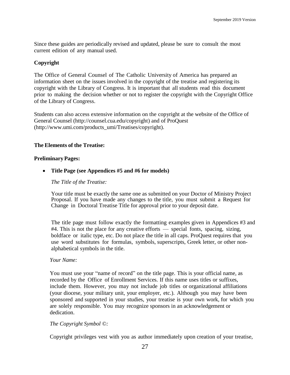Since these guides are periodically revised and updated, please be sure to consult the most current edition of any manual used.

#### **Copyright**

The Office of General Counsel of The Catholic University of America has prepared an information sheet on the issues involved in the copyright of the treatise and registering its copyright with the Library of Congress. It is important that all students read this document prior to making the decision whether or not to register the copyright with the Copyright Office of the Library of Congress.

Students can also access extensive information on the copyright at the website of the Office of General Counsel [\(http://counsel.cua.edu/copyright\)](http://counsel.cua.edu/copyright) and of ProQuest [\(http://www.umi.com/products\\_umi/Treatises/copyright\)](http://www.umi.com/products_umi/dissertations/copyright).

#### **The Elements of the Treatise:**

#### **PreliminaryPages:**

• **Title Page (see Appendices #5 and #6 for models)**

#### *The Title of the Treatise:*

Your title must be exactly the same one as submitted on your Doctor of Ministry Project Proposal. If you have made any changes to the title, you must submit a Request for Change in Doctoral Treatise Title for approval prior to your deposit date.

The title page must follow exactly the formatting examples given in Appendices #3 and #4. This is not the place for any creative efforts — special fonts, spacing, sizing, boldface or italic type, etc. Do not place the title in all caps. ProQuest requires that you use word substitutes for formulas, symbols, superscripts, Greek letter, or other nonalphabetical symbols in the title.

#### *Your Name:*

You must use your "name of record" on the title page. This is your official name, as recorded by the Office of Enrollment Services. If this name uses titles or suffixes, include them. However, you may not include job titles or organizational affiliations (your diocese, your military unit, your employer, etc.). Although you may have been sponsored and supported in your studies, your treatise is your own work, for which you are solely responsible. You may recognize sponsors in an acknowledgement or dedication.

#### *The Copyright Symbol ©:*

Copyright privileges vest with you as author immediately upon creation of your treatise,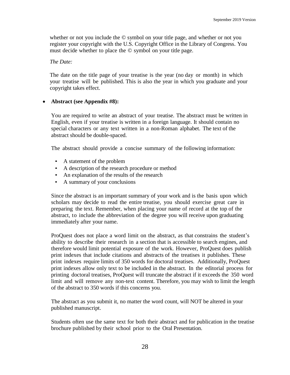whether or not you include the © symbol on your title page, and whether or not you register your copyright with the U.S. Copyright Office in the Library of Congress. You must decide whether to place the © symbol on your title page.

*The Date:*

The date on the title page of your treatise is the year (no day or month) in which your treatise will be published. This is also the year in which you graduate and your copyright takes effect.

#### • **Abstract (see Appendix #8):**

You are required to write an abstract of your treatise. The abstract must be written in English, even if your treatise is written in a foreign language. It should contain no special characters or any text written in a non-Roman alphabet. The text of the abstract should be double-spaced.

The abstract should provide a concise summary of the following information:

- A statement of the problem
- A description of the research procedure or method
- An explanation of the results of the research
- A summary of your conclusions

Since the abstract is an important summary of your work and is the basis upon which scholars may decide to read the entire treatise, you should exercise great care in preparing the text. Remember, when placing your name of record at the top of the abstract, to include the abbreviation of the degree you will receive upon graduating immediately after your name.

ProQuest does not place a word limit on the abstract, as that constrains the student's ability to describe their research in a section that is accessible to search engines, and therefore would limit potential exposure of the work. However, ProQuest does publish print indexes that include citations and abstracts of the treatises it publishes. These print indexes require limits of 350 words for doctoral treatises. Additionally, ProQuest print indexes allow only text to be included in the abstract. In the editorial process for printing doctoral treatises, ProQuest will truncate the abstract if it exceeds the 350 word limit and will remove any non-text content. Therefore, you may wish to limit the length of the abstract to 350 words if this concerns you.

The abstract as you submit it, no matter the word count, will NOT be altered in your published manuscript.

Students often use the same text for both their abstract and for publication in the treatise brochure published by their school prior to the Oral Presentation.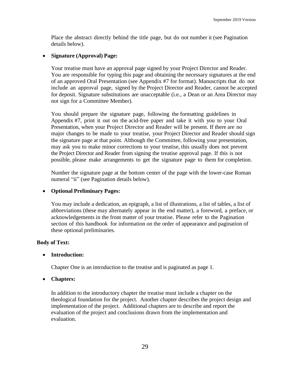Place the abstract directly behind the title page, but do not number it (see Pagination details below).

#### • **Signature (Approval) Page:**

Your treatise must have an approval page signed by your Project Director and Reader. You are responsible for typing this page and obtaining the necessary signatures at the end of an approved Oral Presentation (see Appendix #7 for format). Manuscripts that do not include an approval page, signed by the Project Director and Reader, cannot be accepted for deposit. Signature substitutions are unacceptable (i.e., a Dean or an Area Director may not sign for a Committee Member).

You should prepare the signature page, following the formatting guidelines in Appendix #7, print it out on the acid-free paper and take it with you to your Oral Presentation, when your Project Director and Reader will be present. If there are no major changes to be made to your treatise, your Project Director and Reader should sign the signature page at that point. Although the Committee, following your presentation, may ask you to make minor corrections to your treatise, this usually does not prevent the Project Director and Reader from signing the treatise approval page. If this is not possible, please make arrangements to get the signature page to them for completion.

Number the signature page at the bottom center of the page with the lower-case Roman numeral "ii" (see Pagination details below).

#### • **Optional Preliminary Pages:**

You may include a dedication, an epigraph, a list of illustrations, a list of tables, a list of abbreviations (these may alternately appear in the end matter), a foreword, a preface, or acknowledgements in the front matter of your treatise. Please refer to the Pagination section of this handbook for information on the order of appearance and pagination of these optional preliminaries.

#### **Body of Text:**

#### • **Introduction:**

Chapter One is an introduction to the treatise and is paginated as page 1.

#### • **Chapters:**

In addition to the introductory chapter the treatise must include a chapter on the theological foundation for the project. Another chapter describes the project design and implementation of the project. Additional chapters are to describe and report the evaluation of the project and conclusions drawn from the implementation and evaluation.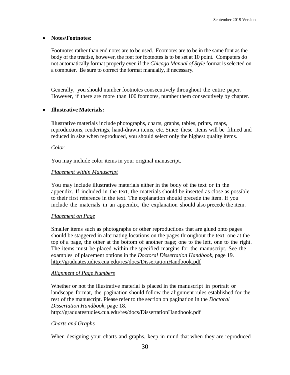#### • **Notes/Footnotes:**

Footnotes rather than end notes are to be used. Footnotes are to be in the same font as the body of the treatise, however, the font for footnotes is to be set at 10 point. Computers do not automatically format properly even if the *Chicago Manual of Style* format is selected on a computer. Be sure to correct the format manually, if necessary.

Generally, you should number footnotes consecutively throughout the entire paper. However, if there are more than 100 footnotes, number them consecutively by chapter.

#### • **Illustrative Materials:**

Illustrative materials include photographs, charts, graphs, tables, prints, maps, reproductions, renderings, hand-drawn items, etc. Since these items will be filmed and reduced in size when reproduced, you should select only the highest quality items.

#### *Color*

You may include color items in your original manuscript.

#### *Placement within Manuscript*

You may include illustrative materials either in the body of the text or in the appendix. If included in the text, the materials should be inserted as close as possible to their first reference in the text. The explanation should precede the item. If you include the materials in an appendix, the explanation should also precede the item.

#### *Placement on Page*

Smaller items such as photographs or other reproductions that are glued onto pages should be staggered in alternating locations on the pages throughout the text: one at the top of a page, the other at the bottom of another page; one to the left, one to the right. The items must be placed within the specified margins for the manuscript. See the examples of placement options in the *Doctoral Dissertation Handbook*, page 19. http://graduatestudies.cua.edu/res/docs/DissertationHandbook.pdf

#### *Alignment of Page Numbers*

Whether or not the illustrative material is placed in the manuscript in portrait or landscape format, the pagination should follow the alignment rules established for the rest of the manuscript. Please refer to the section on pagination in the *Doctoral Dissertation Handbook*, page 18. http://graduatestudies.cua.edu/res/docs/DissertationHandbook.pdf

#### *Charts and Graphs*

When designing your charts and graphs, keep in mind that when they are reproduced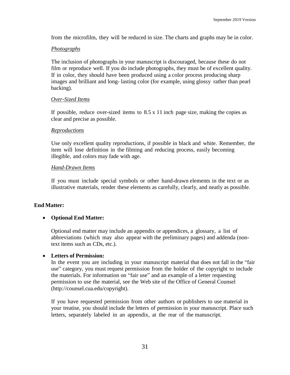from the microfilm, they will be reduced in size. The charts and graphs may be in color.

#### *Photographs*

The inclusion of photographs in your manuscript is discouraged, because these do not film or reproduce well. If you do include photographs, they must be of excellent quality. If in color, they should have been produced using a color process producing sharp images and brilliant and long- lasting color (for example, using glossy rather than pearl backing).

#### *Over-Sized Items*

If possible, reduce over-sized items to  $8.5 \times 11$  inch page size, making the copies as clear and precise as possible.

#### *Reproductions*

Use only excellent quality reproductions, if possible in black and white. Remember, the item will lose definition in the filming and reducing process, easily becoming illegible, and colors may fade with age.

#### *Hand-Drawn Items*

If you must include special symbols or other hand-drawn elements in the text or as illustrative materials, render these elements as carefully, clearly, and neatly as possible.

#### **End Matter:**

#### • **Optional End Matter:**

Optional end matter may include an appendix or appendices, a glossary, a list of abbreviations (which may also appear with the preliminary pages) and addenda (nontext items such as CDs, etc.).

#### • **Letters of Permission:**

In the event you are including in your manuscript material that does not fall in the "fair use" category, you must request permission from the holder of the copyright to include the materials. For information on "fair use" and an example of a letter requesting permission to use the material, see the Web site of the Office of General Counsel [\(http://counsel.cua.edu/copyright\)](http://counsel.cua.edu/copyright).

If you have requested permission from other authors or publishers to use material in your treatise, you should include the letters of permission in your manuscript. Place such letters, separately labeled in an appendix, at the rear of the manuscript.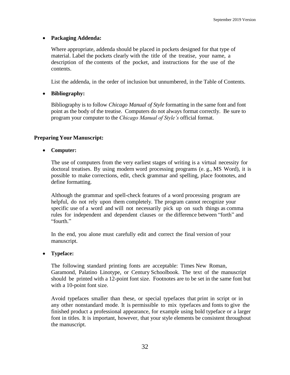#### • **Packaging Addenda:**

Where appropriate, addenda should be placed in pockets designed for that type of material. Label the pockets clearly with the title of the treatise, your name, a description of the contents of the pocket, and instructions for the use of the contents.

List the addenda, in the order of inclusion but unnumbered, in the Table of Contents.

#### • **Bibliography:**

Bibliography is to follow *Chicago Manual of Style* formatting in the same font and font point as the body of the treatise. Computers do not always format correctly. Be sure to program your computer to the *Chicago Manual of Style's* official format.

#### **Preparing Your Manuscript:**

• **Computer:**

The use of computers from the very earliest stages of writing is a virtual necessity for doctoral treatises. By using modern word processing programs (e. g., MS Word), it is possible to make corrections, edit, check grammar and spelling, place footnotes, and define formatting.

Although the grammar and spell-check features of a word processing program are helpful, do not rely upon them completely. The program cannot recognize your specific use of a word and will not necessarily pick up on such things as comma rules for independent and dependent clauses or the difference between "forth" and "fourth."

In the end, you alone must carefully edit and correct the final version of your manuscript.

#### • **Typeface:**

The following standard printing fonts are acceptable: Times New Roman, Garamond, Palatino Linotype, or Century Schoolbook. The text of the manuscript should be printed with a 12-point font size. Footnotes are to be set in the same font but with a 10-point font size.

Avoid typefaces smaller than these, or special typefaces that print in script or in any other nonstandard mode. It is permissible to mix typefaces and fonts to give the finished product a professional appearance, for example using bold typeface or a larger font in titles. It is important, however, that your style elements be consistent throughout the manuscript.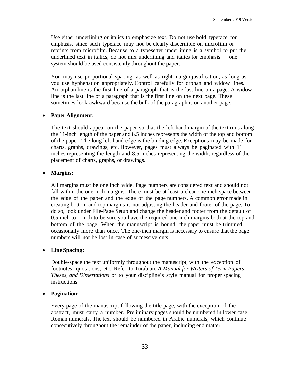Use either underlining or italics to emphasize text. Do not use bold typeface for emphasis, since such typeface may not be clearly discernible on microfilm or reprints from microfilm. Because to a typesetter underlining is a symbol to put the underlined text in italics, do not mix underlining and italics for emphasis — one system should be used consistently throughout the paper.

You may use proportional spacing, as well as right-margin justification, as long as you use hyphenation appropriately. Control carefully for orphan and widow lines. An orphan line is the first line of a paragraph that is the last line on a page. A widow line is the last line of a paragraph that is the first line on the next page. These sometimes look awkward because the bulk of the paragraph is on another page.

#### • **Paper Alignment:**

The text should appear on the paper so that the left-hand margin of the text runs along the 11-inch length of the paper and 8.5 inches represents the width of the top and bottom of the paper. The long left-hand edge is the binding edge. Exceptions may be made for charts, graphs, drawings, etc. However, pages must always be paginated with 11 inches representing the length and 8.5 inches representing the width, regardless of the placement of charts, graphs, or drawings.

#### • **Margins:**

All margins must be one inch wide. Page numbers are considered text and should not fall within the one-inch margins. There must be at least a clear one-inch space between the edge of the paper and the edge of the page numbers. A common error made in creating bottom and top margins is not adjusting the header and footer of the page. To do so, look under File-Page Setup and change the header and footer from the default of 0.5 inch to 1 inch to be sure you have the required one-inch margins both at the top and bottom of the page. When the manuscript is bound, the paper must be trimmed, occasionally more than once. The one-inch margin is necessary to ensure that the page numbers will not be lost in case of successive cuts.

#### • **Line Spacing:**

Double-space the text uniformly throughout the manuscript, with the exception of footnotes, quotations, etc. Refer to Turabian, *A Manual for Writers of Term Papers, Theses, and Dissertations* or to your discipline's style manual for proper spacing instructions.

#### • **Pagination:**

Every page of the manuscript following the title page, with the exception of the abstract, must carry a number. Preliminary pages should be numbered in lower case Roman numerals. The text should be numbered in Arabic numerals, which continue consecutively throughout the remainder of the paper, including end matter.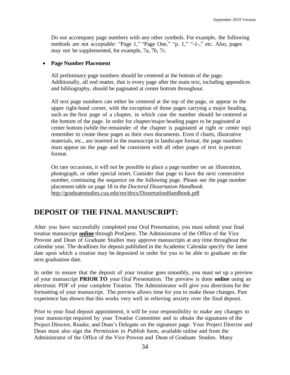Do not accompany page numbers with any other symbols. For example, the following methods are not acceptable: "Page 1," "Page One," "p. 1," "-1-," etc. Also, pages may not be supplemented, for example, 7a, 7b, 7c.

#### • **Page Number Placement**

All preliminary page numbers should be centered at the bottom of the page. Additionally, all end matter, that is every page after the main text, including appendices and bibliography, should be paginated at center bottom throughout.

All text page numbers can either be centered at the top of the page, or appear in the upper right-hand corner, with the exception of those pages carrying a major heading, such as the first page of a chapter, in which case the number should be centered at the bottom of the page. In order for chapter/major heading pages to be paginated at center bottom (while the remainder of the chapter is paginated at right or center top) remember to create these pages as their own documents. Even if charts, illustrative materials, etc., are inserted in the manuscript in landscape format, the page numbers must appear on the page and be consistent with all other pages of text in portrait format.

On rare occasions, it will not be possible to place a page number on an illustration, photograph, or other special insert. Consider that page to have the next consecutive number, continuing the sequence on the following page. Please see the page number placement table on page 18 in the *Doctoral Dissertation Handbook*. http://graduatestudies.cua.edu/res/docs/DissertationHandbook.pdf

# **DEPOSIT OF THE FINAL MANUSCRIPT:**

After you have successfully completed your Oral Presentation, you must submit your final treatise manuscript **online** through ProQuest. The Administrator of the Office of the Vice Provost and Dean of Graduate Studies may approve manuscripts at any time throughout the calendar year. The deadlines for deposit published in the Academic Calendar specify the latest date upon which a treatise may be deposited in order for you to be able to graduate on the next graduation date.

In order to ensure that the deposit of your treatise goes smoothly, you must set up a preview of your manuscript **PRIOR TO** your Oral Presentation. The preview is done **online** using an electronic PDF of your complete Treatise. The Administrator will give you directions for the formatting of your manuscript. The preview allows time for you to make those changes. Past experience has shown that this works very well in relieving anxiety over the final deposit.

Prior to your final deposit appointment, it will be your responsibility to make any changes to your manuscript required by your Treatise Committee and to obtain the signatures of the Project Director, Reader, and Dean's Delegate on the signature page. Your Project Director and Dean must also sign the *Permission to Publish* form, available online and from the Administrator of the Office of the Vice Provost and Dean of Graduate Studies. Many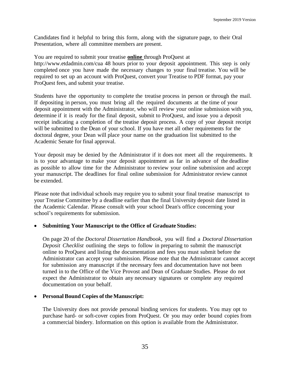Candidates find it helpful to bring this form, along with the signature page, to their Oral Presentation, where all committee members are present.

You are required to submit your treatise **online** through ProQuest at <http://www.etdadmin.com/cua> 48 hours prior to your deposit appointment. This step is only completed once you have made the necessary changes to your final treatise. You will be required to set up an account with ProQuest, convert your Treatise to PDF format, pay your ProQuest fees, and submit your treatise.

Students have the opportunity to complete the treatise process in person or through the mail. If depositing in person, you must bring all the required documents at the time of your deposit appointment with the Administrator, who will review your online submission with you, determine if it is ready for the final deposit, submit to ProQuest, and issue you a deposit receipt indicating a completion of the treatise deposit process. A copy of your deposit receipt will be submitted to the Dean of your school. If you have met all other requirements for the doctoral degree, your Dean will place your name on the graduation list submitted to the Academic Senate for final approval.

Your deposit may be denied by the Administrator if it does not meet all the requirements. It is to your advantage to make your deposit appointment as far in advance of the deadline as possible to allow time for the Administrator to review your online submission and accept your manuscript. The deadlines for final online submission for Administrator review cannot be extended.

Please note that individual schools may require you to submit your final treatise manuscript to your Treatise Committee by a deadline earlier than the final University deposit date listed in the Academic Calendar. Please consult with your school Dean's office concerning your school's requirements for submission.

#### • **Submitting Your Manuscript to the Office of Graduate Studies:**

On page 20 of the *Doctoral Dissertation Handbook*, you will find a *Doctoral Dissertation Deposit Checklist* outlining the steps to follow in preparing to submit the manuscript online to ProQuest and listing the documentation and fees you must submit before the Administrator can accept your submission. Please note that the Administrator cannot accept for submission any manuscript if the necessary fees and documentation have not been turned in to the Office of the Vice Provost and Dean of Graduate Studies. Please do not expect the Administrator to obtain any necessary signatures or complete any required documentation on your behalf.

#### • **Personal Bound Copies of the Manuscript:**

The University does not provide personal binding services for students. You may opt to purchase hard- or soft-cover copies from ProQuest. Or you may order bound copies from a commercial bindery. Information on this option is available from the Administrator.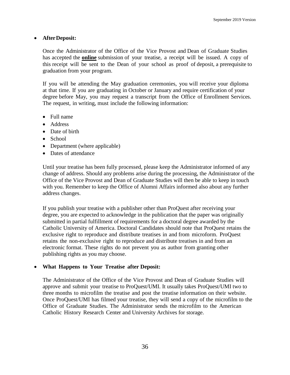#### • **AfterDeposit:**

Once the Administrator of the Office of the Vice Provost and Dean of Graduate Studies has accepted the **online** submission of your treatise, a receipt will be issued. A copy of this receipt will be sent to the Dean of your school as proof of deposit, a prerequisite to graduation from your program.

If you will be attending the May graduation ceremonies, you will receive your diploma at that time. If you are graduating in October or January and require certification of your degree before May, you may request a transcript from the Office of Enrollment Services. The request, in writing, must include the following information:

- Full name
- Address
- Date of birth
- School
- Department (where applicable)
- Dates of attendance

Until your treatise has been fully processed, please keep the Administrator informed of any change of address. Should any problems arise during the processing, the Administrator of the Office of the Vice Provost and Dean of Graduate Studies will then be able to keep in touch with you. Remember to keep the Office of Alumni Affairs informed also about any further address changes.

If you publish your treatise with a publisher other than ProQuest after receiving your degree, you are expected to acknowledge in the publication that the paper was originally submitted in partial fulfillment of requirements for a doctoral degree awarded by the Catholic University of America. Doctoral Candidates should note that ProQuest retains the exclusive right to reproduce and distribute treatises in and from microform. ProQuest retains the non-exclusive right to reproduce and distribute treatises in and from an electronic format. These rights do not prevent you as author from granting other publishing rights as you may choose.

#### • **What Happens to Your Treatise after Deposit:**

The Administrator of the Office of the Vice Provost and Dean of Graduate Studies will approve and submit your treatise to ProQuest/UMI. It usually takes ProQuest/UMI two to three months to microfilm the treatise and post the treatise information on their website. Once ProQuest/UMI has filmed your treatise, they will send a copy of the microfilm to the Office of Graduate Studies. The Administrator sends the microfilm to the American Catholic History Research Center and University Archives for storage.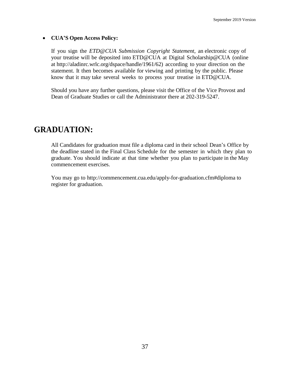#### • **CUA'S Open Access Policy:**

If you sign the *ETD@CUA Submission Copyright Statement*, an electronic copy of your treatise will be deposited into ETD@CUA at Digital Scholarship@CUA (online at ht[tp://aladinrc.wrlc.org/dspace/handle/1961/62\)](http://aladinrc.wrlc.org/dspace/handle/1961/62) according to your direction on the statement. It then becomes available for viewing and printing by the public. Please know that it may take several weeks to process your treatise in ETD@CUA.

Should you have any further questions, please visit the Office of the Vice Provost and Dean of Graduate Studies or call the Administrator there at 202-319-5247.

# **GRADUATION:**

All Candidates for graduation must file a diploma card in their school Dean's Office by the deadline stated in the Final Class Schedule for the semester in which they plan to graduate. You should indicate at that time whether you plan to participate in the May commencement exercises.

You may go to [http://commencement.cua.edu/apply-for-graduation.cfm#diploma](http://commencement.cua.edu/apply-for-graduation.cfm%23diploma) to register for graduation.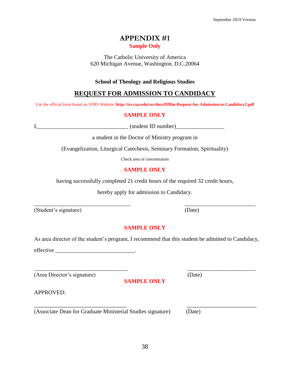38

## **APPENDIX #1 Sample Only**

The Catholic University of America 620 Michigan Avenue, Washington, D.C.20064

## **School of Theology and Religious Studies**

# **REQUEST FOR ADMISSION TO CANDIDACY**

Use the official form found on STRS Website: **http://trs.cua.edu/res/docs/DMin-Request-for-Admission-to-Candidacy2.pdf**

#### **SAMPLE ONLY**

I,\_\_\_\_\_\_\_\_\_\_\_\_\_\_\_\_\_\_\_\_\_\_\_\_\_\_\_\_\_\_\_\_ (student ID number)\_\_\_\_\_\_\_\_\_\_\_\_\_\_\_\_\_

a student in the Doctor of Ministry program in

(Evangelization, Liturgical Catechesis, Seminary Formation, Spirituality)

Check area of concentration

#### **SAMPLE ONLY**

having successfully completed 21 credit hours of the required 32 credit hours,

hereby apply for admission to Candidacy.

 $\overline{\phantom{a}}$  , and the contract of the contract of the contract of the contract of the contract of the contract of the contract of the contract of the contract of the contract of the contract of the contract of the contrac

(Student's signature) (Date)

## **SAMPLE ONLY**

As area director of the student's program, I recommend that this student be admitted to Candidacy,

\_\_\_\_\_\_\_\_\_\_\_\_\_\_\_\_\_\_\_\_\_\_\_\_\_\_\_\_\_\_\_\_\_ \_\_\_\_\_\_\_\_\_\_\_\_\_\_\_\_\_\_\_\_\_\_\_\_

**SAMPLE ONLY**

effective the contract of the contract of  $\mathbf{r}$ 

(Area Director's signature) (Date)

APPROVED:

(Associate Dean for Graduate Ministerial Studies signature) (Date)

\_\_\_\_\_\_\_\_\_\_\_\_\_\_\_\_\_\_\_\_\_\_\_\_\_\_\_\_ \_\_\_\_\_\_\_\_\_\_\_\_\_\_\_\_\_\_\_\_\_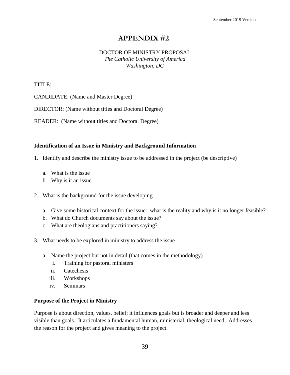#### DOCTOR OF MINISTRY PROPOSAL *The Catholic University of America Washington, DC*

TITLE:

CANDIDATE: (Name and Master Degree)

DIRECTOR: (Name without titles and Doctoral Degree)

READER: (Name without titles and Doctoral Degree)

#### **Identification of an Issue in Ministry and Background Information**

- 1. Identify and describe the ministry issue to be addressed in the project (be descriptive)
	- a. What is the issue
	- b. Why is it an issue
- 2. What is the background for the issue developing
	- a. Give some historical context for the issue: what is the reality and why is it no longer feasible?
	- b. What do Church documents say about the issue?
	- c. What are theologians and practitioners saying?
- 3. What needs to be explored in ministry to address the issue
	- a. Name the project but not in detail (that comes in the methodology)
		- i. Training for pastoral ministers
		- ii. Catechesis
		- iii. Workshops
		- iv. Seminars

#### **Purpose of the Project in Ministry**

Purpose is about direction, values, belief; it influences goals but is broader and deeper and less visible than goals. It articulates a fundamental human, ministerial, theological need. Addresses the reason for the project and gives meaning to the project.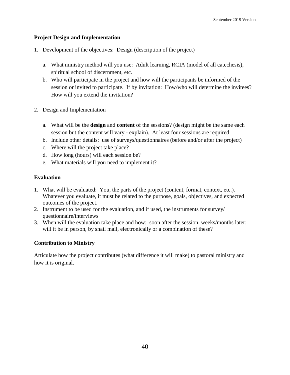#### **Project Design and Implementation**

- 1. Development of the objectives: Design (description of the project)
	- a. What ministry method will you use: Adult learning, RCIA (model of all catechesis), spiritual school of discernment, etc.
	- b. Who will participate in the project and how will the participants be informed of the session or invited to participate. If by invitation: How/who will determine the invitees? How will you extend the invitation?
- 2. Design and Implementation
	- a. What will be the **design** and **content** of the sessions? (design might be the same each session but the content will vary - explain). At least four sessions are required.
	- b. Include other details: use of surveys/questionnaires (before and/or after the project)
	- c. Where will the project take place?
	- d. How long (hours) will each session be?
	- e. What materials will you need to implement it?

#### **Evaluation**

- 1. What will be evaluated: You, the parts of the project (content, format, context, etc.). Whatever you evaluate, it must be related to the purpose, goals, objectives, and expected outcomes of the project.
- 2. Instrument to be used for the evaluation, and if used, the instruments for survey/ questionnaire/interviews
- 3. When will the evaluation take place and how: soon after the session, weeks/months later; will it be in person, by snail mail, electronically or a combination of these?

#### **Contribution to Ministry**

Articulate how the project contributes (what difference it will make) to pastoral ministry and how it is original.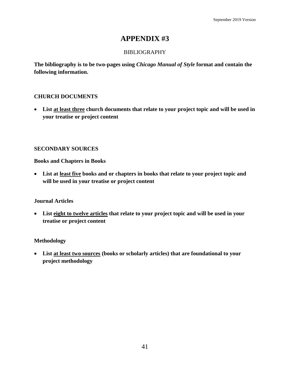### BIBLIOGRAPHY

**The bibliography is to be two-pages using** *Chicago Manual of Style* **format and contain the following information.** 

## **CHURCH DOCUMENTS**

• **List at least three church documents that relate to your project topic and will be used in your treatise or project content**

#### **SECONDARY SOURCES**

**Books and Chapters in Books**

• **List at least five books and or chapters in books that relate to your project topic and will be used in your treatise or project content**

#### **Journal Articles**

• **List eight to twelve articles that relate to your project topic and will be used in your treatise or project content**

#### **Methodology**

• **List at least two sources (books or scholarly articles) that are foundational to your project methodology**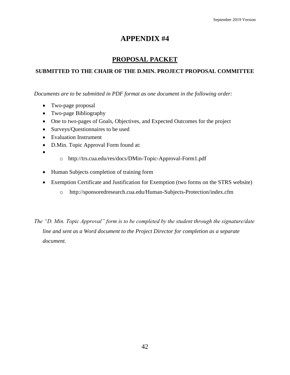## **PROPOSAL PACKET**

## **SUBMITTED TO THE CHAIR OF THE D.MIN. PROJECT PROPOSAL COMMITTEE**

*Documents are to be submitted in PDF format as one document in the following order:*

- Two-page proposal
- Two-page Bibliography
- One to two-pages of Goals, Objectives, and Expected Outcomes for the project
- Surveys/Questionnaires to be used
- Evaluation Instrument
- D.Min. Topic Approval Form found at:
- •
- o <http://trs.cua.edu/res/docs/DMin-Topic-Approval-Form1.pdf>
- Human Subjects completion of training form
- Exemption Certificate and Justification for Exemption (two forms on the STRS website)
	- o <http://sponsoredresearch.cua.edu/Human-Subjects-Protection/index.cfm>

*The "D. Min. Topic Approval" form is to be completed by the student through the signature/date line and sent as a Word document to the Project Director for completion as a separate document.*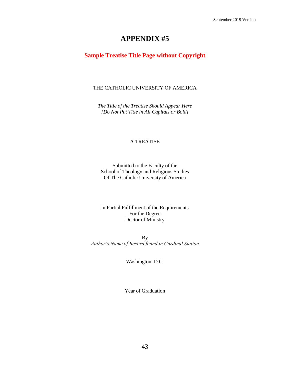#### **Sample Treatise Title Page without Copyright**

#### THE CATHOLIC UNIVERSITY OF AMERICA

*The Title of the Treatise Should Appear Here [Do Not Put Title in All Capitals or Bold]*

#### A TREATISE

Submitted to the Faculty of the School of Theology and Religious Studies Of The Catholic University of America

In Partial Fulfillment of the Requirements For the Degree Doctor of Ministry

By *Author's Name of Record found in Cardinal Station*

Washington, D.C.

Year of Graduation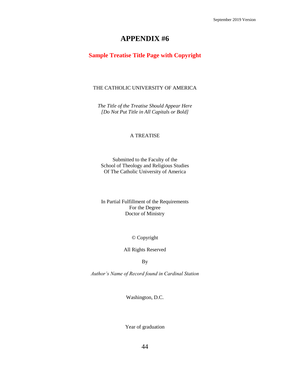## **Sample Treatise Title Page with Copyright**

#### THE CATHOLIC UNIVERSITY OF AMERICA

*The Title of the Treatise Should Appear Here [Do Not Put Title in All Capitals or Bold]*

#### A TREATISE

Submitted to the Faculty of the School of Theology and Religious Studies Of The Catholic University of America

In Partial Fulfillment of the Requirements For the Degree Doctor of Ministry

© Copyright

All Rights Reserved

By

*Author's Name of Record found in Cardinal Station*

Washington, D.C.

Year of graduation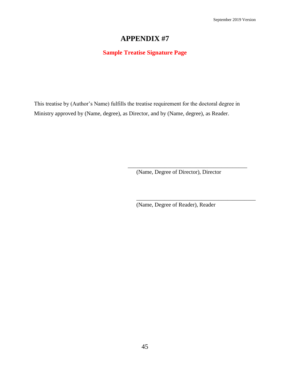## **Sample Treatise Signature Page**

This treatise by (Author's Name) fulfills the treatise requirement for the doctoral degree in Ministry approved by (Name, degree), as Director, and by (Name, degree), as Reader.

(Name, Degree of Director), Director

\_\_\_\_\_\_\_\_\_\_\_\_\_\_\_\_\_\_\_\_\_\_\_\_\_\_\_\_\_\_\_\_\_\_\_\_\_\_\_\_\_\_

\_\_\_\_\_\_\_\_\_\_\_\_\_\_\_\_\_\_\_\_\_\_\_\_\_\_\_\_\_\_\_\_\_\_\_\_\_\_\_\_\_\_

(Name, Degree of Reader), Reader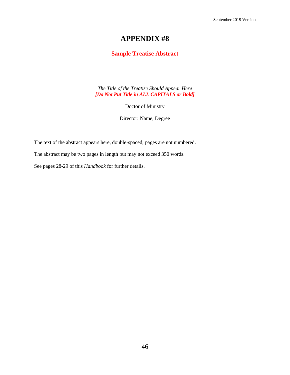## **Sample Treatise Abstract**

*The Title of the Treatise Should Appear Here [Do Not Put Title in ALL CAPITALS or Bold]*

Doctor of Ministry

Director: Name, Degree

The text of the abstract appears here, double-spaced; pages are not numbered.

The abstract may be two pages in length but may not exceed 350 words.

See pages 28-29 of this *Handbook* for further details.